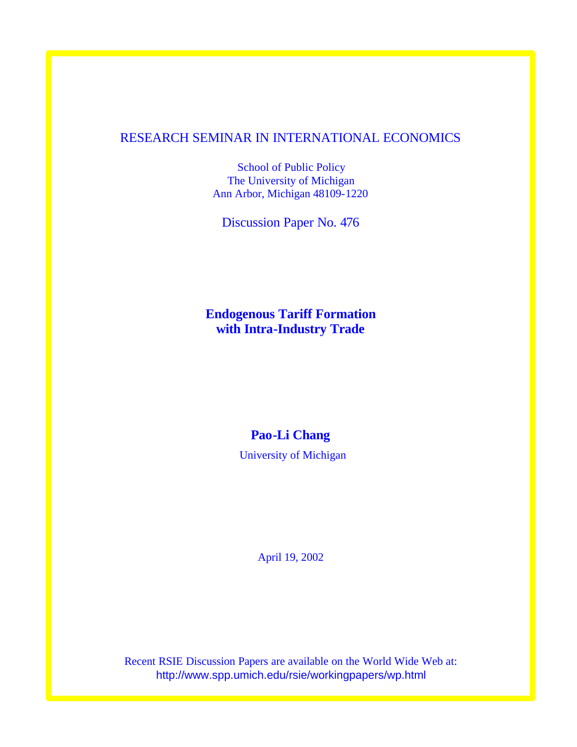## RESEARCH SEMINAR IN INTERNATIONAL ECONOMICS

School of Public Policy The University of Michigan Ann Arbor, Michigan 48109-1220

Discussion Paper No. 476

**Endogenous Tariff Formation with Intra-Industry Trade**

## **Pao-Li Chang**

University of Michigan

April 19, 2002

Recent RSIE Discussion Papers are available on the World Wide Web at: http://www.spp.umich.edu/rsie/workingpapers/wp.html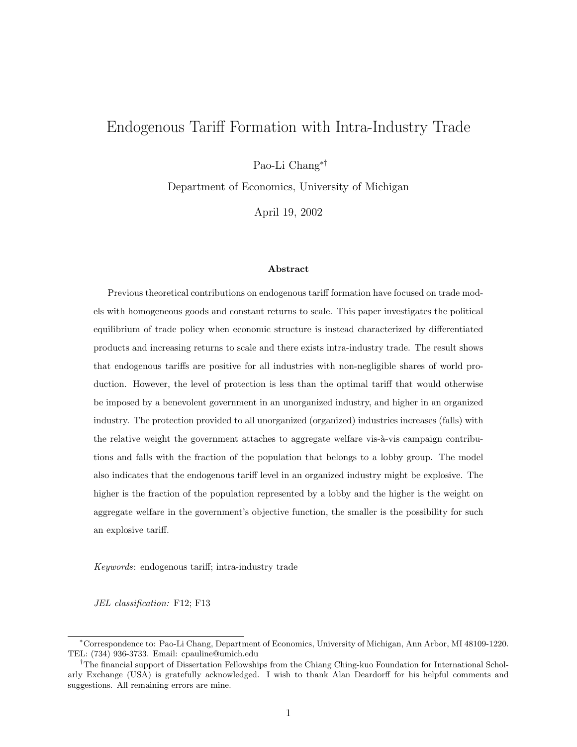# Endogenous Tariff Formation with Intra-Industry Trade

Pao-Li Chang∗†

Department of Economics, University of Michigan

April 19, 2002

#### Abstract

Previous theoretical contributions on endogenous tariff formation have focused on trade models with homogeneous goods and constant returns to scale. This paper investigates the political equilibrium of trade policy when economic structure is instead characterized by differentiated products and increasing returns to scale and there exists intra-industry trade. The result shows that endogenous tariffs are positive for all industries with non-negligible shares of world production. However, the level of protection is less than the optimal tariff that would otherwise be imposed by a benevolent government in an unorganized industry, and higher in an organized industry. The protection provided to all unorganized (organized) industries increases (falls) with the relative weight the government attaches to aggregate welfare vis- $\grave{a}$ -vis campaign contributions and falls with the fraction of the population that belongs to a lobby group. The model also indicates that the endogenous tariff level in an organized industry might be explosive. The higher is the fraction of the population represented by a lobby and the higher is the weight on aggregate welfare in the government's objective function, the smaller is the possibility for such an explosive tariff.

Keywords: endogenous tariff; intra-industry trade

JEL classification: F12; F13

<sup>∗</sup>Correspondence to: Pao-Li Chang, Department of Economics, University of Michigan, Ann Arbor, MI 48109-1220. TEL: (734) 936-3733. Email: cpauline@umich.edu

<sup>&</sup>lt;sup>†</sup>The financial support of Dissertation Fellowships from the Chiang Ching-kuo Foundation for International Scholarly Exchange (USA) is gratefully acknowledged. I wish to thank Alan Deardorff for his helpful comments and suggestions. All remaining errors are mine.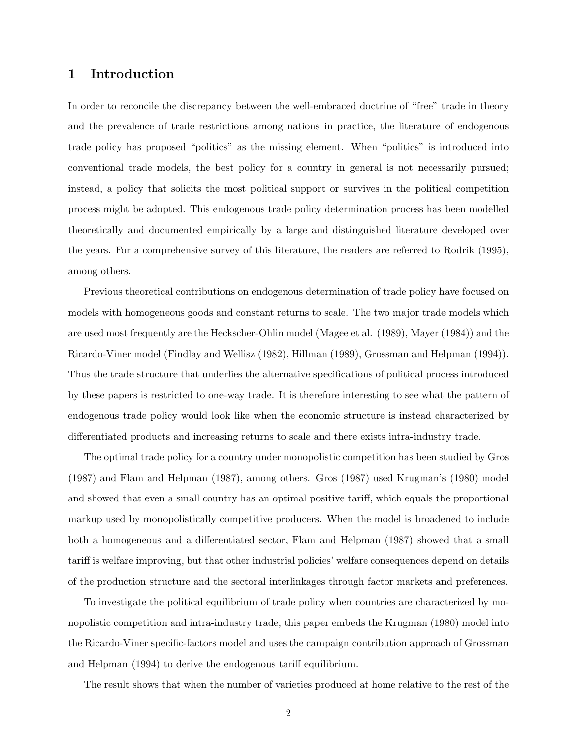## 1 Introduction

In order to reconcile the discrepancy between the well-embraced doctrine of "free" trade in theory and the prevalence of trade restrictions among nations in practice, the literature of endogenous trade policy has proposed "politics" as the missing element. When "politics" is introduced into conventional trade models, the best policy for a country in general is not necessarily pursued; instead, a policy that solicits the most political support or survives in the political competition process might be adopted. This endogenous trade policy determination process has been modelled theoretically and documented empirically by a large and distinguished literature developed over the years. For a comprehensive survey of this literature, the readers are referred to Rodrik (1995), among others.

Previous theoretical contributions on endogenous determination of trade policy have focused on models with homogeneous goods and constant returns to scale. The two major trade models which are used most frequently are the Heckscher-Ohlin model (Magee et al. (1989), Mayer (1984)) and the Ricardo-Viner model (Findlay and Wellisz (1982), Hillman (1989), Grossman and Helpman (1994)). Thus the trade structure that underlies the alternative specifications of political process introduced by these papers is restricted to one-way trade. It is therefore interesting to see what the pattern of endogenous trade policy would look like when the economic structure is instead characterized by differentiated products and increasing returns to scale and there exists intra-industry trade.

The optimal trade policy for a country under monopolistic competition has been studied by Gros (1987) and Flam and Helpman (1987), among others. Gros (1987) used Krugman's (1980) model and showed that even a small country has an optimal positive tariff, which equals the proportional markup used by monopolistically competitive producers. When the model is broadened to include both a homogeneous and a differentiated sector, Flam and Helpman (1987) showed that a small tariff is welfare improving, but that other industrial policies' welfare consequences depend on details of the production structure and the sectoral interlinkages through factor markets and preferences.

To investigate the political equilibrium of trade policy when countries are characterized by monopolistic competition and intra-industry trade, this paper embeds the Krugman (1980) model into the Ricardo-Viner specific-factors model and uses the campaign contribution approach of Grossman and Helpman (1994) to derive the endogenous tariff equilibrium.

The result shows that when the number of varieties produced at home relative to the rest of the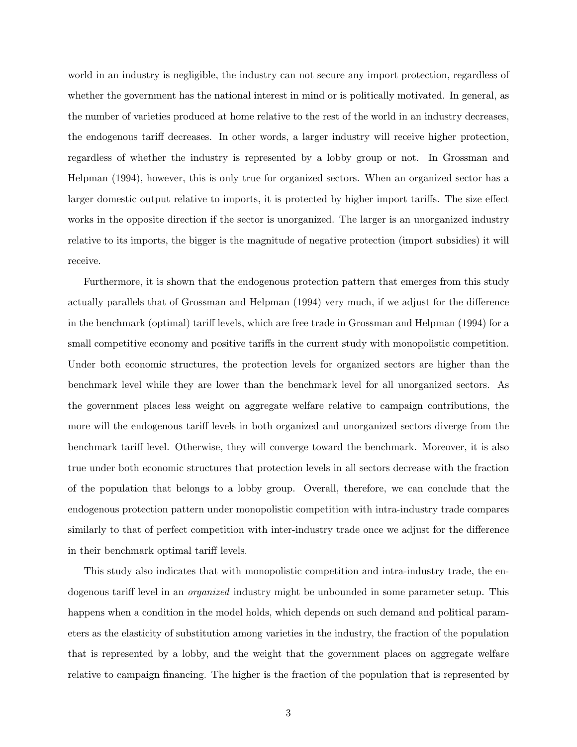world in an industry is negligible, the industry can not secure any import protection, regardless of whether the government has the national interest in mind or is politically motivated. In general, as the number of varieties produced at home relative to the rest of the world in an industry decreases, the endogenous tariff decreases. In other words, a larger industry will receive higher protection, regardless of whether the industry is represented by a lobby group or not. In Grossman and Helpman (1994), however, this is only true for organized sectors. When an organized sector has a larger domestic output relative to imports, it is protected by higher import tariffs. The size effect works in the opposite direction if the sector is unorganized. The larger is an unorganized industry relative to its imports, the bigger is the magnitude of negative protection (import subsidies) it will receive.

Furthermore, it is shown that the endogenous protection pattern that emerges from this study actually parallels that of Grossman and Helpman (1994) very much, if we adjust for the difference in the benchmark (optimal) tariff levels, which are free trade in Grossman and Helpman (1994) for a small competitive economy and positive tariffs in the current study with monopolistic competition. Under both economic structures, the protection levels for organized sectors are higher than the benchmark level while they are lower than the benchmark level for all unorganized sectors. As the government places less weight on aggregate welfare relative to campaign contributions, the more will the endogenous tariff levels in both organized and unorganized sectors diverge from the benchmark tariff level. Otherwise, they will converge toward the benchmark. Moreover, it is also true under both economic structures that protection levels in all sectors decrease with the fraction of the population that belongs to a lobby group. Overall, therefore, we can conclude that the endogenous protection pattern under monopolistic competition with intra-industry trade compares similarly to that of perfect competition with inter-industry trade once we adjust for the difference in their benchmark optimal tariff levels.

This study also indicates that with monopolistic competition and intra-industry trade, the endogenous tariff level in an *organized* industry might be unbounded in some parameter setup. This happens when a condition in the model holds, which depends on such demand and political parameters as the elasticity of substitution among varieties in the industry, the fraction of the population that is represented by a lobby, and the weight that the government places on aggregate welfare relative to campaign financing. The higher is the fraction of the population that is represented by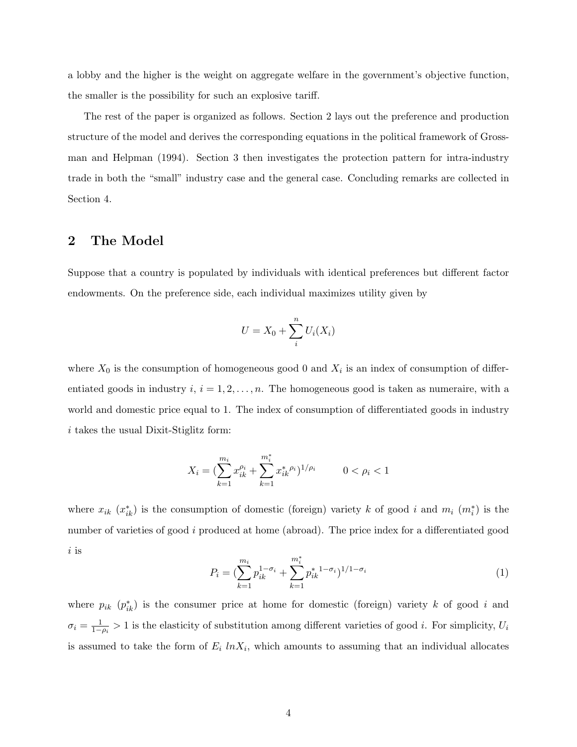a lobby and the higher is the weight on aggregate welfare in the government's objective function, the smaller is the possibility for such an explosive tariff.

The rest of the paper is organized as follows. Section 2 lays out the preference and production structure of the model and derives the corresponding equations in the political framework of Grossman and Helpman (1994). Section 3 then investigates the protection pattern for intra-industry trade in both the "small" industry case and the general case. Concluding remarks are collected in Section 4.

### 2 The Model

Suppose that a country is populated by individuals with identical preferences but different factor endowments. On the preference side, each individual maximizes utility given by

$$
U = X_0 + \sum_{i}^{n} U_i(X_i)
$$

where  $X_0$  is the consumption of homogeneous good 0 and  $X_i$  is an index of consumption of differentiated goods in industry  $i, i = 1, 2, \ldots, n$ . The homogeneous good is taken as numeraire, with a world and domestic price equal to 1. The index of consumption of differentiated goods in industry i takes the usual Dixit-Stiglitz form:

$$
X_i = \left(\sum_{k=1}^{m_i} x_{ik}^{\rho_i} + \sum_{k=1}^{m_i^*} x_{ik}^*^{\rho_i}\right)^{1/\rho_i} \qquad 0 < \rho_i < 1
$$

where  $x_{ik}$   $(x_{ik}^*)$  is the consumption of domestic (foreign) variety k of good i and  $m_i$   $(m_i^*)$  is the number of varieties of good i produced at home (abroad). The price index for a differentiated good i is

$$
P_i = \left(\sum_{k=1}^{m_i} p_{ik}^{1-\sigma_i} + \sum_{k=1}^{m_i^*} p_{ik}^{*1-\sigma_i}\right)^{1/1-\sigma_i} \tag{1}
$$

where  $p_{ik}$   $(p_{ik}^*)$  is the consumer price at home for domestic (foreign) variety k of good i and  $\sigma_i = \frac{1}{1-1}$  $\frac{1}{1-\rho_i} > 1$  is the elasticity of substitution among different varieties of good *i*. For simplicity,  $U_i$ is assumed to take the form of  $E_i$   $ln X_i$ , which amounts to assuming that an individual allocates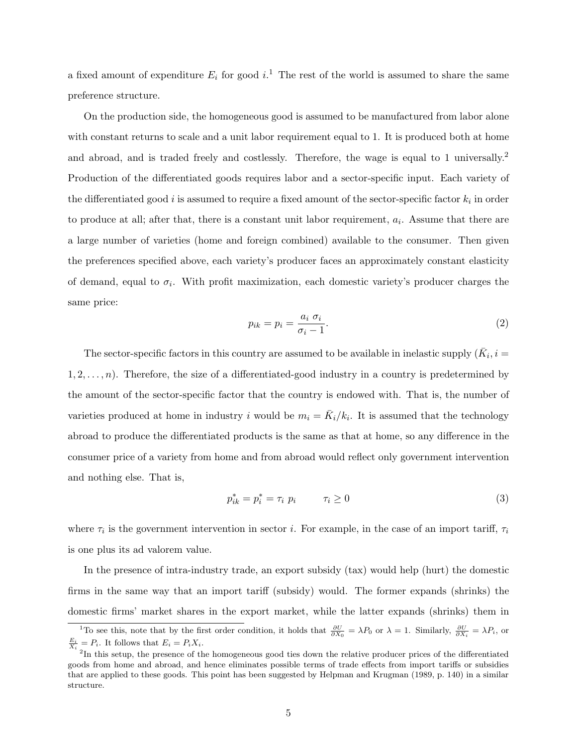a fixed amount of expenditure  $E_i$  for good  $i$ .<sup>1</sup> The rest of the world is assumed to share the same preference structure.

On the production side, the homogeneous good is assumed to be manufactured from labor alone with constant returns to scale and a unit labor requirement equal to 1. It is produced both at home and abroad, and is traded freely and costlessly. Therefore, the wage is equal to 1 universally.<sup>2</sup> Production of the differentiated goods requires labor and a sector-specific input. Each variety of the differentiated good *i* is assumed to require a fixed amount of the sector-specific factor  $k_i$  in order to produce at all; after that, there is a constant unit labor requirement,  $a_i$ . Assume that there are a large number of varieties (home and foreign combined) available to the consumer. Then given the preferences specified above, each variety's producer faces an approximately constant elasticity of demand, equal to  $\sigma_i$ . With profit maximization, each domestic variety's producer charges the same price:

$$
p_{ik} = p_i = \frac{a_i \sigma_i}{\sigma_i - 1}.
$$
\n<sup>(2)</sup>

The sector-specific factors in this country are assumed to be available in inelastic supply  $(\bar{K}_i, i =$  $1, 2, \ldots, n$ . Therefore, the size of a differentiated-good industry in a country is predetermined by the amount of the sector-specific factor that the country is endowed with. That is, the number of varieties produced at home in industry i would be  $m_i = \overline{K}_i/k_i$ . It is assumed that the technology abroad to produce the differentiated products is the same as that at home, so any difference in the consumer price of a variety from home and from abroad would reflect only government intervention and nothing else. That is,

$$
p_{ik}^* = p_i^* = \tau_i \ p_i \qquad \tau_i \ge 0 \tag{3}
$$

where  $\tau_i$  is the government intervention in sector *i*. For example, in the case of an import tariff,  $\tau_i$ is one plus its ad valorem value.

In the presence of intra-industry trade, an export subsidy (tax) would help (hurt) the domestic firms in the same way that an import tariff (subsidy) would. The former expands (shrinks) the domestic firms' market shares in the export market, while the latter expands (shrinks) them in

<sup>&</sup>lt;sup>1</sup>To see this, note that by the first order condition, it holds that  $\frac{\partial U}{\partial X_0} = \lambda P_0$  or  $\lambda = 1$ . Similarly,  $\frac{\partial U}{\partial X_i} = \lambda P_i$ , or  $\frac{E_i}{X_i} = P_i$ . It follows that  $E_i = P_i X_i$ .

<sup>&</sup>lt;sup>2</sup>In this setup, the presence of the homogeneous good ties down the relative producer prices of the differentiated goods from home and abroad, and hence eliminates possible terms of trade effects from import tariffs or subsidies that are applied to these goods. This point has been suggested by Helpman and Krugman (1989, p. 140) in a similar structure.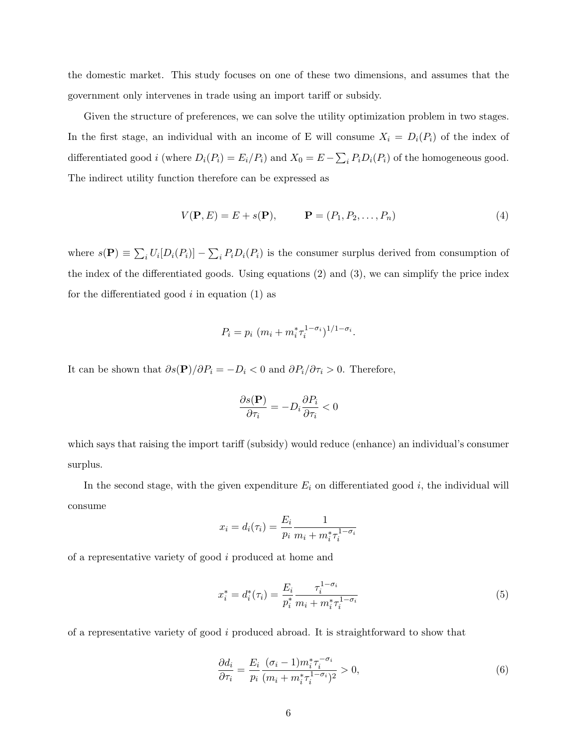the domestic market. This study focuses on one of these two dimensions, and assumes that the government only intervenes in trade using an import tariff or subsidy.

Given the structure of preferences, we can solve the utility optimization problem in two stages. In the first stage, an individual with an income of E will consume  $X_i = D_i(P_i)$  of the index of differentiated good *i* (where  $D_i(P_i) = E_i/P_i$ ) and  $X_0 = E \overline{ }$  $i_t P_i D_i(P_i)$  of the homogeneous good. The indirect utility function therefore can be expressed as

$$
V(\mathbf{P}, E) = E + s(\mathbf{P}), \qquad \mathbf{P} = (P_1, P_2, \dots, P_n)
$$
\n
$$
(4)
$$

where  $s(\mathbf{P}) \equiv$  $\overline{ }$  $i U_i[D_i(P_i)] \overline{ }$  $i_t P_i D_i(P_i)$  is the consumer surplus derived from consumption of the index of the differentiated goods. Using equations (2) and (3), we can simplify the price index for the differentiated good  $i$  in equation (1) as

$$
P_i = p_i \ (m_i + m_i^* \tau_i^{1 - \sigma_i})^{1/1 - \sigma_i}.
$$

It can be shown that  $\partial s(\mathbf{P})/\partial P_i = -D_i < 0$  and  $\partial P_i/\partial \tau_i > 0$ . Therefore,

$$
\frac{\partial s(\mathbf{P})}{\partial \tau_i} = -D_i \frac{\partial P_i}{\partial \tau_i} < 0
$$

which says that raising the import tariff (subsidy) would reduce (enhance) an individual's consumer surplus.

In the second stage, with the given expenditure  $E_i$  on differentiated good  $i$ , the individual will consume

$$
x_i = d_i(\tau_i) = \frac{E_i}{p_i} \frac{1}{m_i + m_i^* \tau_i^{1 - \sigma_i}}
$$

of a representative variety of good i produced at home and

$$
x_i^* = d_i^*(\tau_i) = \frac{E_i}{p_i^*} \frac{\tau_i^{1-\sigma_i}}{m_i + m_i^* \tau_i^{1-\sigma_i}}
$$
\n(5)

of a representative variety of good i produced abroad. It is straightforward to show that

$$
\frac{\partial d_i}{\partial \tau_i} = \frac{E_i}{p_i} \frac{(\sigma_i - 1)m_i^* \tau_i^{-\sigma_i}}{(m_i + m_i^* \tau_i^{1-\sigma_i})^2} > 0,
$$
\n
$$
(6)
$$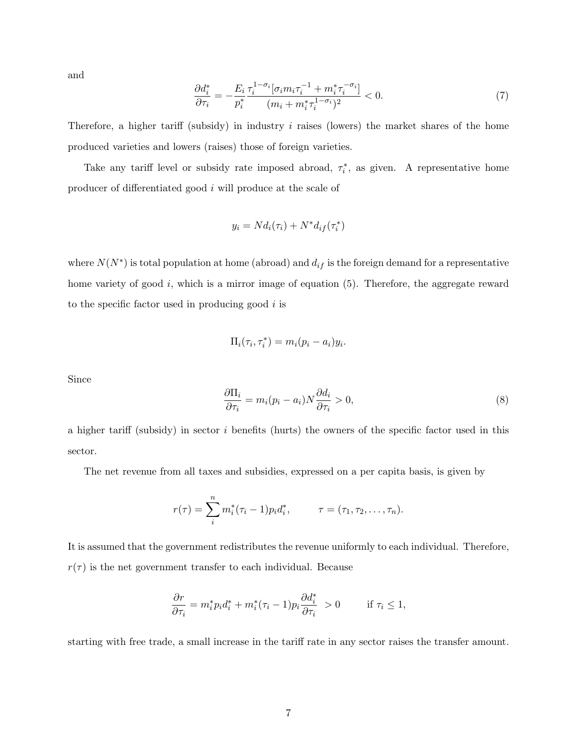and

$$
\frac{\partial d_i^*}{\partial \tau_i} = -\frac{E_i}{p_i^*} \frac{\tau_i^{1-\sigma_i} [\sigma_i m_i \tau_i^{-1} + m_i^* \tau_i^{-\sigma_i}]}{(m_i + m_i^* \tau_i^{1-\sigma_i})^2} < 0. \tag{7}
$$

Therefore, a higher tariff (subsidy) in industry  $i$  raises (lowers) the market shares of the home produced varieties and lowers (raises) those of foreign varieties.

Take any tariff level or subsidy rate imposed abroad,  $\tau_i^*$ , as given. A representative home producer of differentiated good i will produce at the scale of

$$
y_i = N d_i(\tau_i) + N^* d_{if}(\tau_i^*)
$$

where  $N(N^*)$  is total population at home (abroad) and  $d_{if}$  is the foreign demand for a representative home variety of good  $i$ , which is a mirror image of equation  $(5)$ . Therefore, the aggregate reward to the specific factor used in producing good  $i$  is

$$
\Pi_i(\tau_i, \tau_i^*) = m_i(p_i - a_i)y_i.
$$

Since

$$
\frac{\partial \Pi_i}{\partial \tau_i} = m_i (p_i - a_i) N \frac{\partial d_i}{\partial \tau_i} > 0,
$$
\n(8)

a higher tariff (subsidy) in sector  $i$  benefits (hurts) the owners of the specific factor used in this sector.

The net revenue from all taxes and subsidies, expressed on a per capita basis, is given by

$$
r(\tau) = \sum_{i}^{n} m_{i}^{*}(\tau_{i} - 1)p_{i}d_{i}^{*}, \qquad \tau = (\tau_{1}, \tau_{2}, \ldots, \tau_{n}).
$$

It is assumed that the government redistributes the revenue uniformly to each individual. Therefore,  $r(\tau)$  is the net government transfer to each individual. Because

$$
\frac{\partial r}{\partial \tau_i} = m_i^* p_i d_i^* + m_i^* (\tau_i - 1) p_i \frac{\partial d_i^*}{\partial \tau_i} > 0 \quad \text{if } \tau_i \le 1,
$$

starting with free trade, a small increase in the tariff rate in any sector raises the transfer amount.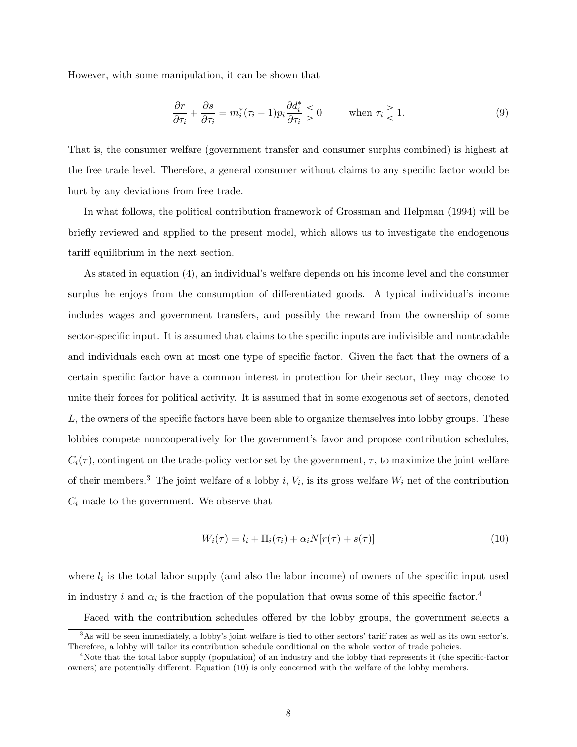However, with some manipulation, it can be shown that

$$
\frac{\partial r}{\partial \tau_i} + \frac{\partial s}{\partial \tau_i} = m_i^*(\tau_i - 1) p_i \frac{\partial d_i^*}{\partial \tau_i} \leq 0 \quad \text{when } \tau_i \geq 1.
$$
 (9)

That is, the consumer welfare (government transfer and consumer surplus combined) is highest at the free trade level. Therefore, a general consumer without claims to any specific factor would be hurt by any deviations from free trade.

In what follows, the political contribution framework of Grossman and Helpman (1994) will be briefly reviewed and applied to the present model, which allows us to investigate the endogenous tariff equilibrium in the next section.

As stated in equation (4), an individual's welfare depends on his income level and the consumer surplus he enjoys from the consumption of differentiated goods. A typical individual's income includes wages and government transfers, and possibly the reward from the ownership of some sector-specific input. It is assumed that claims to the specific inputs are indivisible and nontradable and individuals each own at most one type of specific factor. Given the fact that the owners of a certain specific factor have a common interest in protection for their sector, they may choose to unite their forces for political activity. It is assumed that in some exogenous set of sectors, denoted L, the owners of the specific factors have been able to organize themselves into lobby groups. These lobbies compete noncooperatively for the government's favor and propose contribution schedules,  $C_i(\tau)$ , contingent on the trade-policy vector set by the government,  $\tau$ , to maximize the joint welfare of their members.<sup>3</sup> The joint welfare of a lobby i,  $V_i$ , is its gross welfare  $W_i$  net of the contribution  $C_i$  made to the government. We observe that

$$
W_i(\tau) = l_i + \Pi_i(\tau_i) + \alpha_i N[r(\tau) + s(\tau)] \tag{10}
$$

where  $l_i$  is the total labor supply (and also the labor income) of owners of the specific input used in industry i and  $\alpha_i$  is the fraction of the population that owns some of this specific factor.<sup>4</sup>

Faced with the contribution schedules offered by the lobby groups, the government selects a

<sup>&</sup>lt;sup>3</sup>As will be seen immediately, a lobby's joint welfare is tied to other sectors' tariff rates as well as its own sector's. Therefore, a lobby will tailor its contribution schedule conditional on the whole vector of trade policies.

<sup>4</sup>Note that the total labor supply (population) of an industry and the lobby that represents it (the specific-factor owners) are potentially different. Equation (10) is only concerned with the welfare of the lobby members.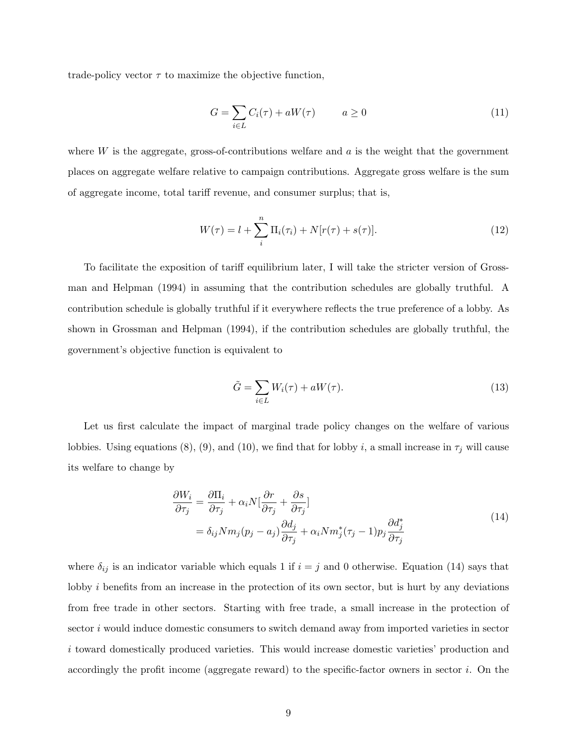trade-policy vector  $\tau$  to maximize the objective function,

$$
G = \sum_{i \in L} C_i(\tau) + aW(\tau) \qquad a \ge 0 \tag{11}
$$

where  $W$  is the aggregate, gross-of-contributions welfare and  $a$  is the weight that the government places on aggregate welfare relative to campaign contributions. Aggregate gross welfare is the sum of aggregate income, total tariff revenue, and consumer surplus; that is,

$$
W(\tau) = l + \sum_{i}^{n} \Pi_{i}(\tau_{i}) + N[r(\tau) + s(\tau)].
$$
\n(12)

To facilitate the exposition of tariff equilibrium later, I will take the stricter version of Grossman and Helpman (1994) in assuming that the contribution schedules are globally truthful. A contribution schedule is globally truthful if it everywhere reflects the true preference of a lobby. As shown in Grossman and Helpman (1994), if the contribution schedules are globally truthful, the government's objective function is equivalent to

$$
\tilde{G} = \sum_{i \in L} W_i(\tau) + aW(\tau). \tag{13}
$$

Let us first calculate the impact of marginal trade policy changes on the welfare of various lobbies. Using equations (8), (9), and (10), we find that for lobby i, a small increase in  $\tau_j$  will cause its welfare to change by

$$
\frac{\partial W_i}{\partial \tau_j} = \frac{\partial \Pi_i}{\partial \tau_j} + \alpha_i N \left[ \frac{\partial r}{\partial \tau_j} + \frac{\partial s}{\partial \tau_j} \right]
$$
  
=  $\delta_{ij} N m_j (p_j - a_j) \frac{\partial d_j}{\partial \tau_j} + \alpha_i N m_j^* (\tau_j - 1) p_j \frac{\partial d_j^*}{\partial \tau_j}$  (14)

where  $\delta_{ij}$  is an indicator variable which equals 1 if  $i = j$  and 0 otherwise. Equation (14) says that lobby *i* benefits from an increase in the protection of its own sector, but is hurt by any deviations from free trade in other sectors. Starting with free trade, a small increase in the protection of sector i would induce domestic consumers to switch demand away from imported varieties in sector i toward domestically produced varieties. This would increase domestic varieties' production and accordingly the profit income (aggregate reward) to the specific-factor owners in sector  $i$ . On the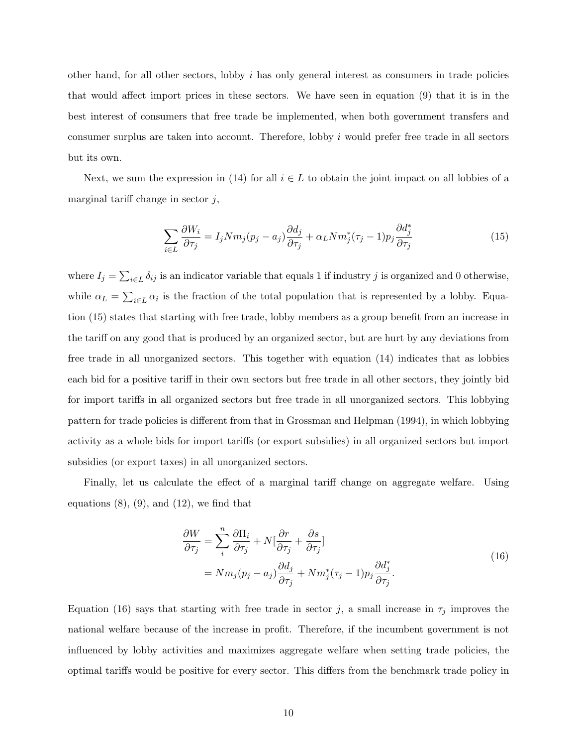other hand, for all other sectors, lobby  $i$  has only general interest as consumers in trade policies that would affect import prices in these sectors. We have seen in equation (9) that it is in the best interest of consumers that free trade be implemented, when both government transfers and consumer surplus are taken into account. Therefore, lobby i would prefer free trade in all sectors but its own.

Next, we sum the expression in (14) for all  $i \in L$  to obtain the joint impact on all lobbies of a marginal tariff change in sector  $j$ ,

$$
\sum_{i \in L} \frac{\partial W_i}{\partial \tau_j} = I_j N m_j (p_j - a_j) \frac{\partial d_j}{\partial \tau_j} + \alpha_L N m_j^* (\tau_j - 1) p_j \frac{\partial d_j^*}{\partial \tau_j}
$$
(15)

where  $I_j =$  $\overline{ }$  $i \in L$   $\delta_{ij}$  is an indicator variable that equals 1 if industry j is organized and 0 otherwise, while  $\alpha_L =$  $\overline{ }$  $i \in L \alpha_i$  is the fraction of the total population that is represented by a lobby. Equation (15) states that starting with free trade, lobby members as a group benefit from an increase in the tariff on any good that is produced by an organized sector, but are hurt by any deviations from free trade in all unorganized sectors. This together with equation (14) indicates that as lobbies each bid for a positive tariff in their own sectors but free trade in all other sectors, they jointly bid for import tariffs in all organized sectors but free trade in all unorganized sectors. This lobbying pattern for trade policies is different from that in Grossman and Helpman (1994), in which lobbying activity as a whole bids for import tariffs (or export subsidies) in all organized sectors but import subsidies (or export taxes) in all unorganized sectors.

Finally, let us calculate the effect of a marginal tariff change on aggregate welfare. Using equations  $(8)$ ,  $(9)$ , and  $(12)$ , we find that

$$
\frac{\partial W}{\partial \tau_j} = \sum_i^n \frac{\partial \Pi_i}{\partial \tau_j} + N[\frac{\partial r}{\partial \tau_j} + \frac{\partial s}{\partial \tau_j}]
$$
  
=  $N m_j (p_j - a_j) \frac{\partial d_j}{\partial \tau_j} + N m_j^* (\tau_j - 1) p_j \frac{\partial d_j^*}{\partial \tau_j}.$  (16)

Equation (16) says that starting with free trade in sector j, a small increase in  $\tau_j$  improves the national welfare because of the increase in profit. Therefore, if the incumbent government is not influenced by lobby activities and maximizes aggregate welfare when setting trade policies, the optimal tariffs would be positive for every sector. This differs from the benchmark trade policy in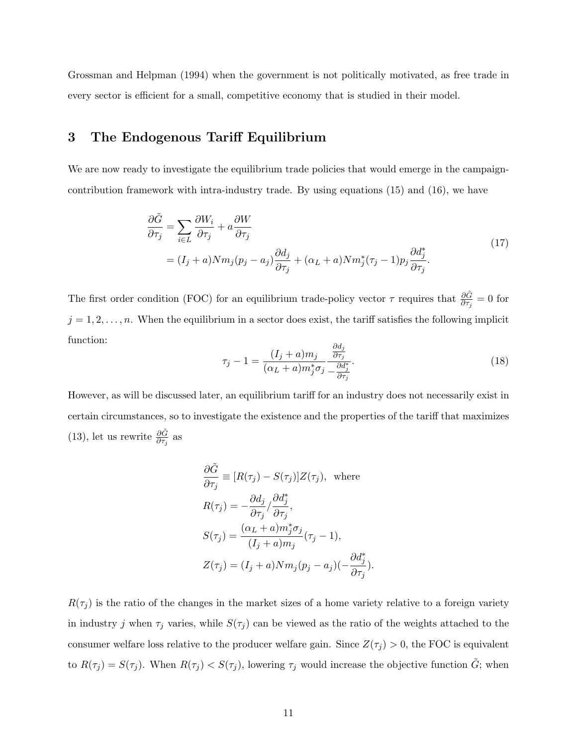Grossman and Helpman (1994) when the government is not politically motivated, as free trade in every sector is efficient for a small, competitive economy that is studied in their model.

## 3 The Endogenous Tariff Equilibrium

We are now ready to investigate the equilibrium trade policies that would emerge in the campaigncontribution framework with intra-industry trade. By using equations (15) and (16), we have

$$
\frac{\partial \tilde{G}}{\partial \tau_j} = \sum_{i \in L} \frac{\partial W_i}{\partial \tau_j} + a \frac{\partial W}{\partial \tau_j} \n= (I_j + a) N m_j (p_j - a_j) \frac{\partial d_j}{\partial \tau_j} + (\alpha_L + a) N m_j^* (\tau_j - 1) p_j \frac{\partial d_j^*}{\partial \tau_j}.
$$
\n(17)

The first order condition (FOC) for an equilibrium trade-policy vector  $\tau$  requires that  $\frac{\partial \tilde{G}}{\partial \tau_j} = 0$  for  $j = 1, 2, \ldots, n$ . When the equilibrium in a sector does exist, the tariff satisfies the following implicit function:

$$
\tau_j - 1 = \frac{(I_j + a)m_j}{(\alpha_L + a)m_j^* \sigma_j} \frac{\frac{\partial d_j}{\partial \tau_j}}{-\frac{\partial d_j^*}{\partial \tau_j}}.
$$
\n(18)

However, as will be discussed later, an equilibrium tariff for an industry does not necessarily exist in certain circumstances, so to investigate the existence and the properties of the tariff that maximizes (13), let us rewrite  $\frac{\partial \tilde{G}}{\partial \tau_j}$  as

$$
\frac{\partial \tilde{G}}{\partial \tau_j} \equiv [R(\tau_j) - S(\tau_j)]Z(\tau_j), \text{ where}
$$
  
\n
$$
R(\tau_j) = -\frac{\partial d_j}{\partial \tau_j} / \frac{\partial d_j^*}{\partial \tau_j},
$$
  
\n
$$
S(\tau_j) = \frac{(\alpha_L + a)m_j^* \sigma_j}{(I_j + a)m_j} (\tau_j - 1),
$$
  
\n
$$
Z(\tau_j) = (I_j + a)Nm_j(p_j - a_j)(-\frac{\partial d_j^*}{\partial \tau_j}).
$$

 $R(\tau_j)$  is the ratio of the changes in the market sizes of a home variety relative to a foreign variety in industry j when  $\tau_j$  varies, while  $S(\tau_j)$  can be viewed as the ratio of the weights attached to the consumer welfare loss relative to the producer welfare gain. Since  $Z(\tau_j) > 0$ , the FOC is equivalent to  $R(\tau_j) = S(\tau_j)$ . When  $R(\tau_j) < S(\tau_j)$ , lowering  $\tau_j$  would increase the objective function  $\tilde{G}$ ; when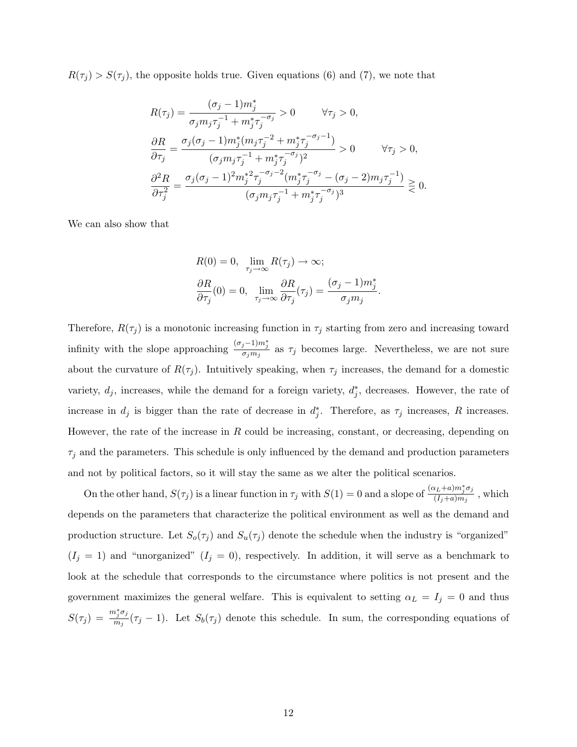$R(\tau_j) > S(\tau_j)$ , the opposite holds true. Given equations (6) and (7), we note that

$$
\begin{split} &R(\tau_j) = \frac{(\sigma_j - 1)m_j^*}{\sigma_j m_j \tau_j^{-1} + m_j^* \tau_j^{-\sigma_j}} > 0 \qquad \forall \tau_j > 0, \\ &\frac{\partial R}{\partial \tau_j} = \frac{\sigma_j (\sigma_j - 1)m_j^* (m_j \tau_j^{-2} + m_j^* \tau_j^{-\sigma_j - 1})}{(\sigma_j m_j \tau_j^{-1} + m_j^* \tau_j^{-\sigma_j})^2} > 0 \qquad \forall \tau_j > 0, \\ &\frac{\partial^2 R}{\partial \tau_j^2} = \frac{\sigma_j (\sigma_j - 1)^2 m_j^*^2 \tau_j^{-\sigma_j - 2} (m_j^* \tau_j^{-\sigma_j} - (\sigma_j - 2)m_j \tau_j^{-1})}{(\sigma_j m_j \tau_j^{-1} + m_j^* \tau_j^{-\sigma_j})^3} \gtrless 0. \end{split}
$$

We can also show that

$$
R(0) = 0, \lim_{\tau_j \to \infty} R(\tau_j) \to \infty;
$$
  

$$
\frac{\partial R}{\partial \tau_j}(0) = 0, \lim_{\tau_j \to \infty} \frac{\partial R}{\partial \tau_j}(\tau_j) = \frac{(\sigma_j - 1)m_j^*}{\sigma_j m_j}.
$$

Therefore,  $R(\tau_j)$  is a monotonic increasing function in  $\tau_j$  starting from zero and increasing toward infinity with the slope approaching  $\frac{(\sigma_j-1)m_j^*}{\sigma_jm_j}$  as  $\tau_j$  becomes large. Nevertheless, we are not sure about the curvature of  $R(\tau_j)$ . Intuitively speaking, when  $\tau_j$  increases, the demand for a domestic variety,  $d_j$ , increases, while the demand for a foreign variety,  $d_j^*$ , decreases. However, the rate of increase in  $d_j$  is bigger than the rate of decrease in  $d_j^*$ . Therefore, as  $\tau_j$  increases, R increases. However, the rate of the increase in  $R$  could be increasing, constant, or decreasing, depending on  $\tau_i$  and the parameters. This schedule is only influenced by the demand and production parameters and not by political factors, so it will stay the same as we alter the political scenarios.

On the other hand,  $S(\tau_j)$  is a linear function in  $\tau_j$  with  $S(1) = 0$  and a slope of  $\frac{(\alpha_L + a)m_j^* \sigma_j}{(L + a)m_j}$  $\frac{(I_i+a)m_j\sigma_j}{(I_j+a)m_j}$ , which depends on the parameters that characterize the political environment as well as the demand and production structure. Let  $S_o(\tau_j)$  and  $S_u(\tau_j)$  denote the schedule when the industry is "organized"  $(I_j = 1)$  and "unorganized"  $(I_j = 0)$ , respectively. In addition, it will serve as a benchmark to look at the schedule that corresponds to the circumstance where politics is not present and the government maximizes the general welfare. This is equivalent to setting  $\alpha_L = I_j = 0$  and thus  $S(\tau_j) = \frac{m_j^*\sigma_j}{m_j}$  $\frac{\mu_j \nu_j}{m_j}(\tau_j - 1)$ . Let  $S_b(\tau_j)$  denote this schedule. In sum, the corresponding equations of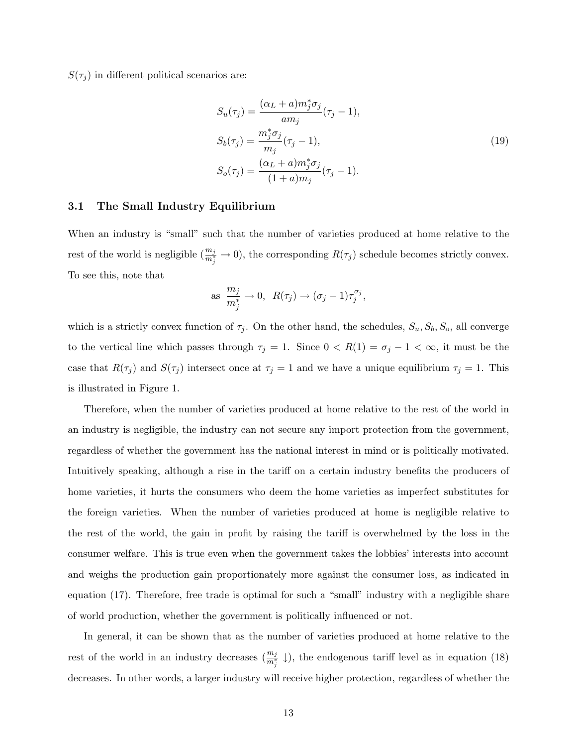$S(\tau_j)$  in different political scenarios are:

$$
S_u(\tau_j) = \frac{(\alpha_L + a)m_j^* \sigma_j}{am_j} (\tau_j - 1),
$$
  
\n
$$
S_b(\tau_j) = \frac{m_j^* \sigma_j}{m_j} (\tau_j - 1),
$$
  
\n
$$
S_o(\tau_j) = \frac{(\alpha_L + a)m_j^* \sigma_j}{(1 + a)m_j} (\tau_j - 1).
$$
\n(19)

### 3.1 The Small Industry Equilibrium

When an industry is "small" such that the number of varieties produced at home relative to the rest of the world is negligible  $(\frac{m_j}{m_j^*} \to 0)$ , the corresponding  $R(\tau_j)$  schedule becomes strictly convex. To see this, note that

as 
$$
\frac{m_j}{m_j^*} \to 0
$$
,  $R(\tau_j) \to (\sigma_j - 1)\tau_j^{\sigma_j}$ ,

which is a strictly convex function of  $\tau_j$ . On the other hand, the schedules,  $S_u, S_b, S_o$ , all converge to the vertical line which passes through  $\tau_j = 1$ . Since  $0 < R(1) = \sigma_j - 1 < \infty$ , it must be the case that  $R(\tau_j)$  and  $S(\tau_j)$  intersect once at  $\tau_j = 1$  and we have a unique equilibrium  $\tau_j = 1$ . This is illustrated in Figure 1.

Therefore, when the number of varieties produced at home relative to the rest of the world in an industry is negligible, the industry can not secure any import protection from the government, regardless of whether the government has the national interest in mind or is politically motivated. Intuitively speaking, although a rise in the tariff on a certain industry benefits the producers of home varieties, it hurts the consumers who deem the home varieties as imperfect substitutes for the foreign varieties. When the number of varieties produced at home is negligible relative to the rest of the world, the gain in profit by raising the tariff is overwhelmed by the loss in the consumer welfare. This is true even when the government takes the lobbies' interests into account and weighs the production gain proportionately more against the consumer loss, as indicated in equation (17). Therefore, free trade is optimal for such a "small" industry with a negligible share of world production, whether the government is politically influenced or not.

In general, it can be shown that as the number of varieties produced at home relative to the rest of the world in an industry decreases  $(\frac{m_j}{m_j^*} \downarrow)$ , the endogenous tariff level as in equation (18) decreases. In other words, a larger industry will receive higher protection, regardless of whether the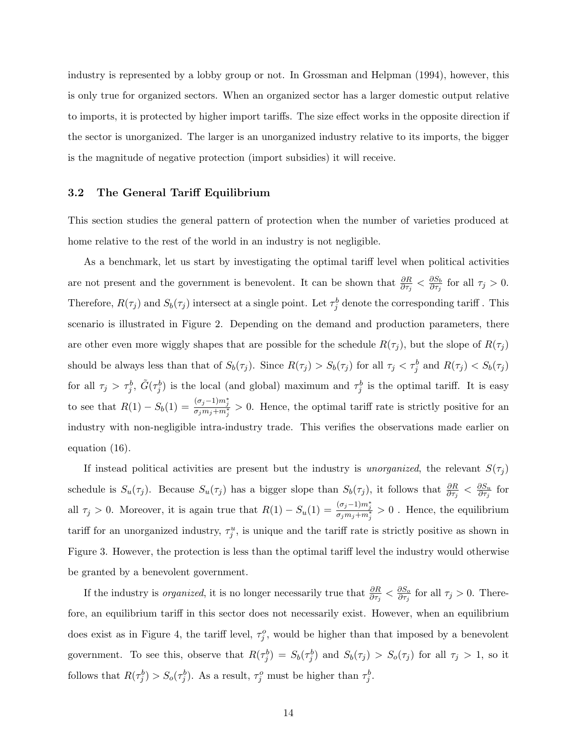industry is represented by a lobby group or not. In Grossman and Helpman (1994), however, this is only true for organized sectors. When an organized sector has a larger domestic output relative to imports, it is protected by higher import tariffs. The size effect works in the opposite direction if the sector is unorganized. The larger is an unorganized industry relative to its imports, the bigger is the magnitude of negative protection (import subsidies) it will receive.

### 3.2 The General Tariff Equilibrium

This section studies the general pattern of protection when the number of varieties produced at home relative to the rest of the world in an industry is not negligible.

As a benchmark, let us start by investigating the optimal tariff level when political activities are not present and the government is benevolent. It can be shown that  $\frac{\partial R}{\partial \tau_j} < \frac{\partial S_b}{\partial \tau_j}$  $\frac{\partial S_b}{\partial \tau_j}$  for all  $\tau_j > 0$ . Therefore,  $R(\tau_j)$  and  $S_b(\tau_j)$  intersect at a single point. Let  $\tau_j^b$  denote the corresponding tariff. This scenario is illustrated in Figure 2. Depending on the demand and production parameters, there are other even more wiggly shapes that are possible for the schedule  $R(\tau_j)$ , but the slope of  $R(\tau_j)$ should be always less than that of  $S_b(\tau_j)$ . Since  $R(\tau_j) > S_b(\tau_j)$  for all  $\tau_j < \tau_j^b$  and  $R(\tau_j) < S_b(\tau_j)$ for all  $\tau_j > \tau_j^b$ ,  $\tilde{G}(\tau_j^b)$  is the local (and global) maximum and  $\tau_j^b$  is the optimal tariff. It is easy to see that  $R(1) - S_b(1) = \frac{(\sigma_j - 1)m_j^*}{\sigma_j m_j + m_j^*} > 0$ . Hence, the optimal tariff rate is strictly positive for an industry with non-negligible intra-industry trade. This verifies the observations made earlier on equation (16).

If instead political activities are present but the industry is unorganized, the relevant  $S(\tau_j)$ schedule is  $S_u(\tau_j)$ . Because  $S_u(\tau_j)$  has a bigger slope than  $S_b(\tau_j)$ , it follows that  $\frac{\partial R}{\partial \tau_j} < \frac{\partial S_u}{\partial \tau_j}$  $\frac{\partial S_u}{\partial \tau_j}$  for all  $\tau_j > 0$ . Moreover, it is again true that  $R(1) - S_u(1) = \frac{(\sigma_j - 1)m_j^*}{\sigma_j m_j + m_j^*} > 0$ . Hence, the equilibrium tariff for an unorganized industry,  $\tau_j^u$ , is unique and the tariff rate is strictly positive as shown in Figure 3. However, the protection is less than the optimal tariff level the industry would otherwise be granted by a benevolent government.

If the industry is *organized*, it is no longer necessarily true that  $\frac{\partial R}{\partial \tau_j} < \frac{\partial S_o}{\partial \tau_j}$  $\frac{\partial S_o}{\partial \tau_j}$  for all  $\tau_j > 0$ . Therefore, an equilibrium tariff in this sector does not necessarily exist. However, when an equilibrium does exist as in Figure 4, the tariff level,  $\tau_j^o$ , would be higher than that imposed by a benevolent government. To see this, observe that  $R(\tau_j^b) = S_b(\tau_j^b)$  and  $S_b(\tau_j) > S_o(\tau_j)$  for all  $\tau_j > 1$ , so it follows that  $R(\tau_j^b) > S_o(\tau_j^b)$ . As a result,  $\tau_j^o$  must be higher than  $\tau_j^b$ .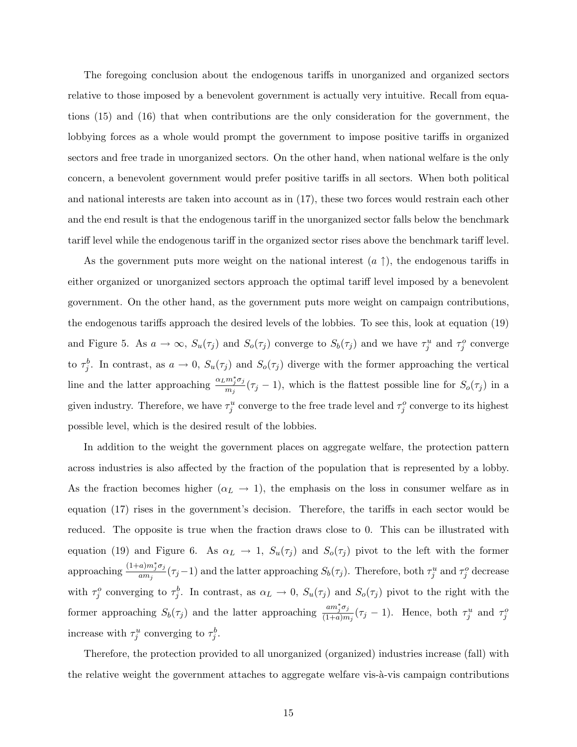The foregoing conclusion about the endogenous tariffs in unorganized and organized sectors relative to those imposed by a benevolent government is actually very intuitive. Recall from equations (15) and (16) that when contributions are the only consideration for the government, the lobbying forces as a whole would prompt the government to impose positive tariffs in organized sectors and free trade in unorganized sectors. On the other hand, when national welfare is the only concern, a benevolent government would prefer positive tariffs in all sectors. When both political and national interests are taken into account as in (17), these two forces would restrain each other and the end result is that the endogenous tariff in the unorganized sector falls below the benchmark tariff level while the endogenous tariff in the organized sector rises above the benchmark tariff level.

As the government puts more weight on the national interest  $(a \uparrow)$ , the endogenous tariffs in either organized or unorganized sectors approach the optimal tariff level imposed by a benevolent government. On the other hand, as the government puts more weight on campaign contributions, the endogenous tariffs approach the desired levels of the lobbies. To see this, look at equation (19) and Figure 5. As  $a \to \infty$ ,  $S_u(\tau_j)$  and  $S_o(\tau_j)$  converge to  $S_b(\tau_j)$  and we have  $\tau_j^u$  and  $\tau_j^o$  converge to  $\tau_j^b$ . In contrast, as  $a \to 0$ ,  $S_u(\tau_j)$  and  $S_o(\tau_j)$  diverge with the former approaching the vertical line and the latter approaching  $\frac{\alpha_L m_j^* \sigma_j}{m}$  $\frac{m_j \sigma_j}{m_j}(\tau_j - 1)$ , which is the flattest possible line for  $S_o(\tau_j)$  in a given industry. Therefore, we have  $\tau_j^u$  converge to the free trade level and  $\tau_j^o$  converge to its highest possible level, which is the desired result of the lobbies.

In addition to the weight the government places on aggregate welfare, the protection pattern across industries is also affected by the fraction of the population that is represented by a lobby. As the fraction becomes higher  $(\alpha_L \to 1)$ , the emphasis on the loss in consumer welfare as in equation (17) rises in the government's decision. Therefore, the tariffs in each sector would be reduced. The opposite is true when the fraction draws close to 0. This can be illustrated with equation (19) and Figure 6. As  $\alpha_L \to 1$ ,  $S_u(\tau_j)$  and  $S_o(\tau_j)$  pivot to the left with the former approaching  $\frac{(1+a)m_j^*\sigma_j}{am}$  $\frac{a_j m_j \sigma_j}{am_j}(\tau_j-1)$  and the latter approaching  $S_b(\tau_j)$ . Therefore, both  $\tau_j^u$  and  $\tau_j^o$  decrease with  $\tau_j^o$  converging to  $\tau_j^b$ . In contrast, as  $\alpha_L \to 0$ ,  $S_u(\tau_j)$  and  $S_o(\tau_j)$  pivot to the right with the former approaching  $S_b(\tau_j)$  and the latter approaching  $\frac{am_j^* \sigma_j}{(1+a)m}$  $\frac{am_j\sigma_j}{(1+a)m_j}(\tau_j-1)$ . Hence, both  $\tau_j^u$  and  $\tau_j^o$ increase with  $\tau_j^u$  converging to  $\tau_j^b$ .

Therefore, the protection provided to all unorganized (organized) industries increase (fall) with the relative weight the government attaches to aggregate welfare vis- $\lambda$ -vis campaign contributions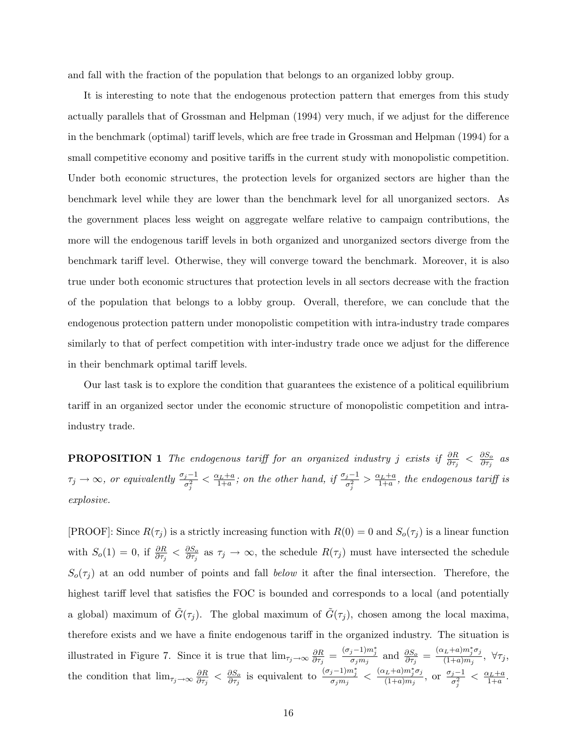and fall with the fraction of the population that belongs to an organized lobby group.

It is interesting to note that the endogenous protection pattern that emerges from this study actually parallels that of Grossman and Helpman (1994) very much, if we adjust for the difference in the benchmark (optimal) tariff levels, which are free trade in Grossman and Helpman (1994) for a small competitive economy and positive tariffs in the current study with monopolistic competition. Under both economic structures, the protection levels for organized sectors are higher than the benchmark level while they are lower than the benchmark level for all unorganized sectors. As the government places less weight on aggregate welfare relative to campaign contributions, the more will the endogenous tariff levels in both organized and unorganized sectors diverge from the benchmark tariff level. Otherwise, they will converge toward the benchmark. Moreover, it is also true under both economic structures that protection levels in all sectors decrease with the fraction of the population that belongs to a lobby group. Overall, therefore, we can conclude that the endogenous protection pattern under monopolistic competition with intra-industry trade compares similarly to that of perfect competition with inter-industry trade once we adjust for the difference in their benchmark optimal tariff levels.

Our last task is to explore the condition that guarantees the existence of a political equilibrium tariff in an organized sector under the economic structure of monopolistic competition and intraindustry trade.

**PROPOSITION** 1 The endogenous tariff for an organized industry j exists if  $\frac{\partial R}{\partial \tau_j} < \frac{\partial S_o}{\partial \tau_j}$  $\frac{\partial S_o}{\partial \tau_j}$  as  $\tau_j \to \infty$ , or equivalently  $\frac{\sigma_j-1}{\sigma_j^2} < \frac{\alpha_L+a}{1+a}$ ; on the other hand, if  $\frac{\sigma_j-1}{\sigma_j^2} > \frac{\alpha_L+a}{1+a}$ , the endogenous tariff is explosive.

[PROOF]: Since  $R(\tau_j)$  is a strictly increasing function with  $R(0) = 0$  and  $S_o(\tau_j)$  is a linear function with  $S_o(1) = 0$ , if  $\frac{\partial R}{\partial \tau_j} < \frac{\partial S_o}{\partial \tau_j}$  $\frac{\partial S_o}{\partial \tau_j}$  as  $\tau_j \to \infty$ , the schedule  $R(\tau_j)$  must have intersected the schedule  $S_o(\tau_j)$  at an odd number of points and fall below it after the final intersection. Therefore, the highest tariff level that satisfies the FOC is bounded and corresponds to a local (and potentially a global) maximum of  $\tilde{G}(\tau_j)$ . The global maximum of  $\tilde{G}(\tau_j)$ , chosen among the local maxima, therefore exists and we have a finite endogenous tariff in the organized industry. The situation is illustrated in Figure 7. Since it is true that  $\lim_{\tau_j \to \infty} \frac{\partial R}{\partial \tau_i}$  $\frac{\partial R}{\partial \tau_j} = \frac{(\sigma_j - 1)m_j^*}{\sigma_j m_j}$  and  $\frac{\partial S_o}{\partial \tau_j} = \frac{(\alpha_L + a)m_j^* \sigma_j}{(1 + a)m_j}$  $\frac{\sum \pm a_j m_j \sigma_j}{(1+a)m_j}, \ \forall \tau_j,$ the condition that  $\lim_{\tau_j \to \infty} \frac{\partial R}{\partial \tau_j}$  $\frac{\partial R}{\partial \tau_j} < \frac{\partial S_o}{\partial \tau_j}$  $\frac{\partial S_o}{\partial \tau_j}$  is equivalent to  $\frac{(\sigma_j-1)m_j^*}{\sigma_jm_j} < \frac{(\alpha_L+a)m_j^*\sigma_j}{(1+a)m_j}$  $\frac{\sigma_j - 1}{(1+a)m_j}, \text{ or } \frac{\sigma_j - 1}{\sigma_i^2}$  $\frac{j-1}{\sigma_j^2} < \frac{\alpha_L + a}{1 + a}.$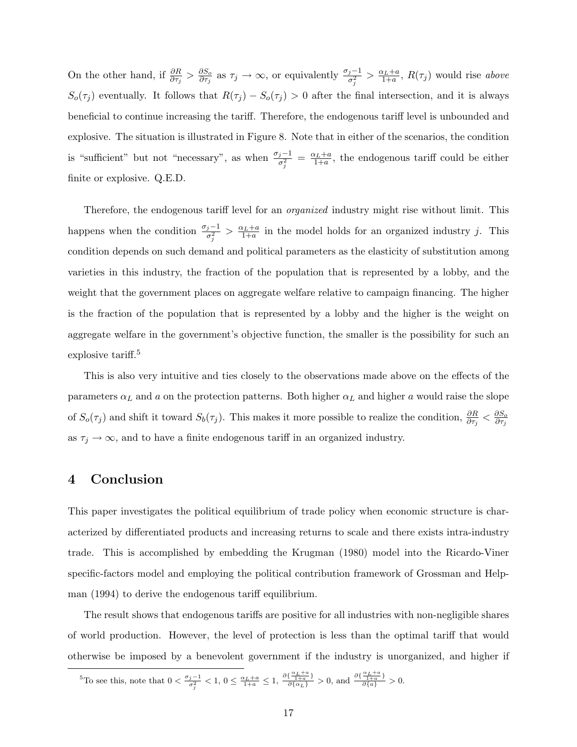On the other hand, if  $\frac{\partial R}{\partial \tau_j} > \frac{\partial S_o}{\partial \tau_j}$  $\frac{\partial S_o}{\partial \tau_j}$  as  $\tau_j \to \infty$ , or equivalently  $\frac{\sigma_j - 1}{\sigma_j^2} > \frac{\alpha_L + a}{1 + a}$ ,  $R(\tau_j)$  would rise above  $S_o(\tau_j)$  eventually. It follows that  $R(\tau_j) - S_o(\tau_j) > 0$  after the final intersection, and it is always beneficial to continue increasing the tariff. Therefore, the endogenous tariff level is unbounded and explosive. The situation is illustrated in Figure 8. Note that in either of the scenarios, the condition is "sufficient" but not "necessary", as when  $\frac{\sigma_j-1}{\sigma_j^2} = \frac{\alpha_L+a}{1+a}$ , the endogenous tariff could be either finite or explosive. Q.E.D.

Therefore, the endogenous tariff level for an *organized* industry might rise without limit. This happens when the condition  $\frac{\sigma_j-1}{\sigma_j^2} > \frac{\alpha_L+a}{1+a}$  in the model holds for an organized industry j. This condition depends on such demand and political parameters as the elasticity of substitution among varieties in this industry, the fraction of the population that is represented by a lobby, and the weight that the government places on aggregate welfare relative to campaign financing. The higher is the fraction of the population that is represented by a lobby and the higher is the weight on aggregate welfare in the government's objective function, the smaller is the possibility for such an explosive tariff.<sup>5</sup>

This is also very intuitive and ties closely to the observations made above on the effects of the parameters  $\alpha_L$  and a on the protection patterns. Both higher  $\alpha_L$  and higher a would raise the slope of  $S_o(\tau_j)$  and shift it toward  $S_b(\tau_j)$ . This makes it more possible to realize the condition,  $\frac{\partial R}{\partial \tau_j} < \frac{\partial S_o}{\partial \tau_j}$ ∂τ<sup>j</sup> as  $\tau_j \to \infty$ , and to have a finite endogenous tariff in an organized industry.

### 4 Conclusion

This paper investigates the political equilibrium of trade policy when economic structure is characterized by differentiated products and increasing returns to scale and there exists intra-industry trade. This is accomplished by embedding the Krugman (1980) model into the Ricardo-Viner specific-factors model and employing the political contribution framework of Grossman and Helpman (1994) to derive the endogenous tariff equilibrium.

The result shows that endogenous tariffs are positive for all industries with non-negligible shares of world production. However, the level of protection is less than the optimal tariff that would otherwise be imposed by a benevolent government if the industry is unorganized, and higher if

<sup>&</sup>lt;sup>5</sup>To see this, note that  $0 < \frac{\sigma_j - 1}{\sigma_j^2} < 1$ ,  $0 \leq \frac{\alpha_L + a}{1 + a} \leq 1$ ,  $\frac{\partial \{\frac{\alpha_L + a}{1 + a}\}}{\partial \{\alpha_L\}} > 0$ , and  $\frac{\partial \{\frac{\alpha_L + a}{1 + a}\}}{\partial \{\alpha\}} > 0$ .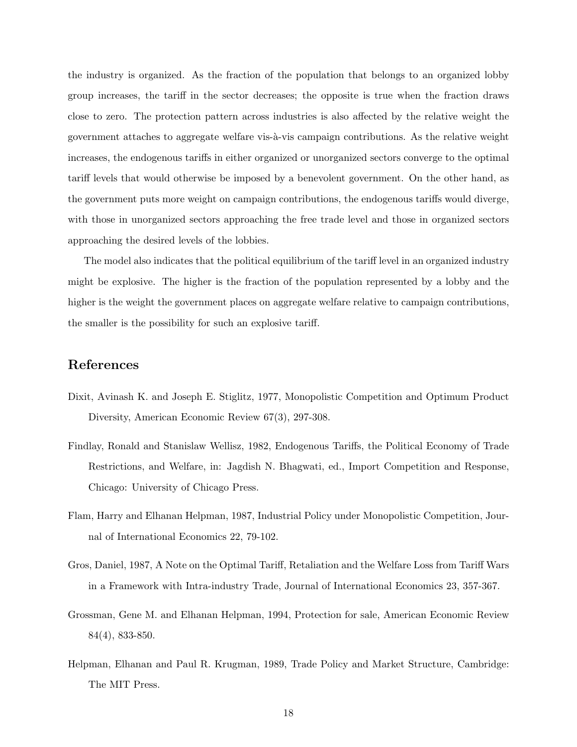the industry is organized. As the fraction of the population that belongs to an organized lobby group increases, the tariff in the sector decreases; the opposite is true when the fraction draws close to zero. The protection pattern across industries is also affected by the relative weight the government attaches to aggregate welfare vis-à-vis campaign contributions. As the relative weight increases, the endogenous tariffs in either organized or unorganized sectors converge to the optimal tariff levels that would otherwise be imposed by a benevolent government. On the other hand, as the government puts more weight on campaign contributions, the endogenous tariffs would diverge, with those in unorganized sectors approaching the free trade level and those in organized sectors approaching the desired levels of the lobbies.

The model also indicates that the political equilibrium of the tariff level in an organized industry might be explosive. The higher is the fraction of the population represented by a lobby and the higher is the weight the government places on aggregate welfare relative to campaign contributions, the smaller is the possibility for such an explosive tariff.

## References

- Dixit, Avinash K. and Joseph E. Stiglitz, 1977, Monopolistic Competition and Optimum Product Diversity, American Economic Review 67(3), 297-308.
- Findlay, Ronald and Stanislaw Wellisz, 1982, Endogenous Tariffs, the Political Economy of Trade Restrictions, and Welfare, in: Jagdish N. Bhagwati, ed., Import Competition and Response, Chicago: University of Chicago Press.
- Flam, Harry and Elhanan Helpman, 1987, Industrial Policy under Monopolistic Competition, Journal of International Economics 22, 79-102.
- Gros, Daniel, 1987, A Note on the Optimal Tariff, Retaliation and the Welfare Loss from Tariff Wars in a Framework with Intra-industry Trade, Journal of International Economics 23, 357-367.
- Grossman, Gene M. and Elhanan Helpman, 1994, Protection for sale, American Economic Review 84(4), 833-850.
- Helpman, Elhanan and Paul R. Krugman, 1989, Trade Policy and Market Structure, Cambridge: The MIT Press.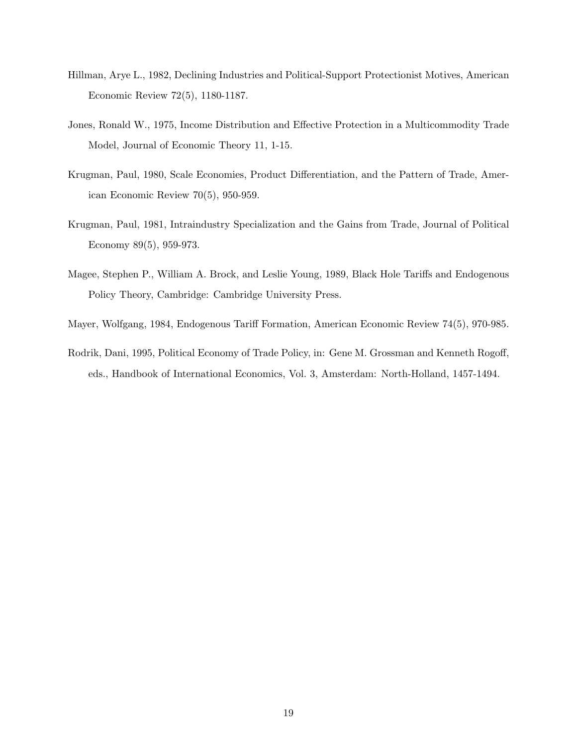- Hillman, Arye L., 1982, Declining Industries and Political-Support Protectionist Motives, American Economic Review 72(5), 1180-1187.
- Jones, Ronald W., 1975, Income Distribution and Effective Protection in a Multicommodity Trade Model, Journal of Economic Theory 11, 1-15.
- Krugman, Paul, 1980, Scale Economies, Product Differentiation, and the Pattern of Trade, American Economic Review 70(5), 950-959.
- Krugman, Paul, 1981, Intraindustry Specialization and the Gains from Trade, Journal of Political Economy 89(5), 959-973.
- Magee, Stephen P., William A. Brock, and Leslie Young, 1989, Black Hole Tariffs and Endogenous Policy Theory, Cambridge: Cambridge University Press.
- Mayer, Wolfgang, 1984, Endogenous Tariff Formation, American Economic Review 74(5), 970-985.
- Rodrik, Dani, 1995, Political Economy of Trade Policy, in: Gene M. Grossman and Kenneth Rogoff, eds., Handbook of International Economics, Vol. 3, Amsterdam: North-Holland, 1457-1494.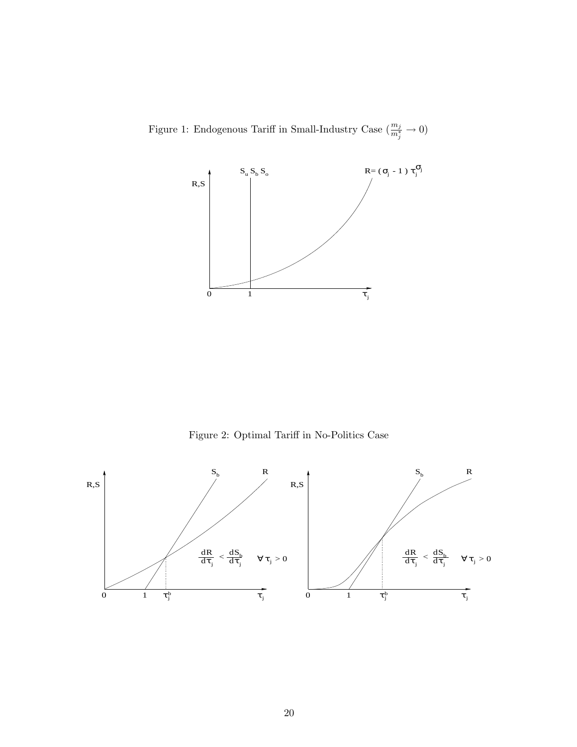Figure 1: Endogenous Tariff in Small-Industry Case  $(\frac{m_j}{m_j^*} \to 0)$ 



Figure 2: Optimal Tariff in No-Politics Case

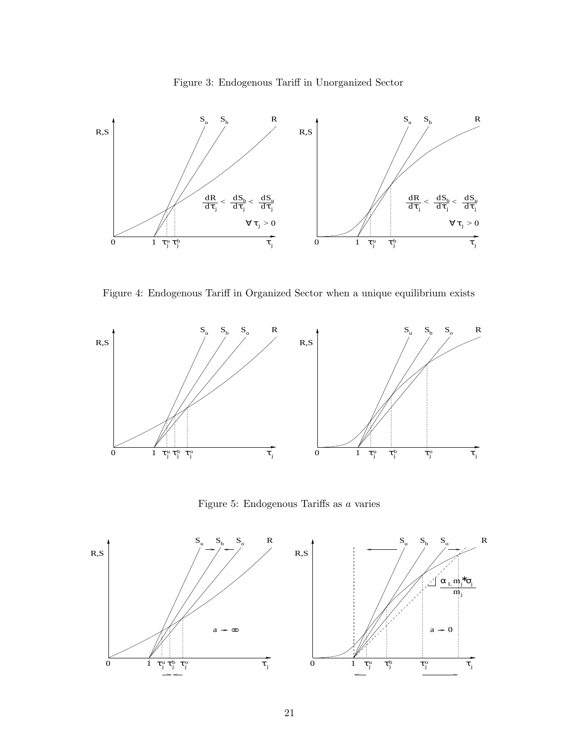



Figure 4: Endogenous Tariff in Organized Sector when a unique equilibrium exists



Figure 5: Endogenous Tariffs as a varies